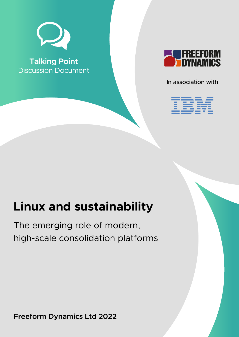

**Talking Point** Discussion Document



In association with



# **Linux and sustainability**

The emerging role of modern, high-scale consolidation platforms

**Freeform Dynamics Ltd 2022**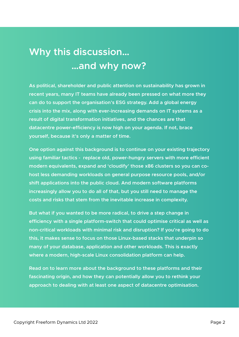## **Why this discussion… …and why now?**

**As political, shareholder and public attention on sustainability has grown in recent years, many IT teams have already been pressed on what more they can do to support the organisation's ESG strategy. Add a global energy crisis into the mix, along with ever-increasing demands on IT systems as a result of digital transformation initiatives, and the chances are that datacentre power-efficiency is now high on your agenda. If not, brace yourself, because it's only a matter of time.**

**One option against this background is to continue on your existing trajectory using familiar tactics - replace old, power-hungry servers with more efficient modern equivalents, expand and 'cloudify' those x86 clusters so you can cohost less demanding workloads on general purpose resource pools, and/or shift applications into the public cloud. And modern software platforms increasingly allow you to do all of that, but you still need to manage the costs and risks that stem from the inevitable increase in complexity.**

**But what if you wanted to be more radical, to drive a step change in efficiency with a single platform-switch that could optimise critical as well as non-critical workloads with minimal risk and disruption? If you're going to do this, it makes sense to focus on those Linux-based stacks that underpin so many of your database, application and other workloads. This is exactly where a modern, high-scale Linux consolidation platform can help.**

**Read on to learn more about the background to these platforms and their fascinating origin, and how they can potentially allow you to rethink your approach to dealing with at least one aspect of datacentre optimisation.**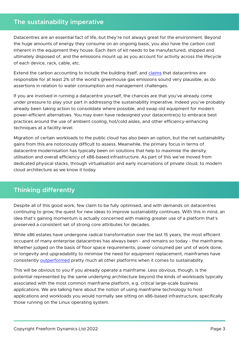#### **The sustainability imperative**

Datacentres are an essential fact of life, but they're not always great for the environment. Beyond the huge amounts of energy they consume on an ongoing basis, you also have the carbon cost inherent in the equipment they house. Each item of kit needs to be manufactured, shipped and ultimately disposed of, and the emissions mount up as you account for activity across the lifecycle of each device, rack, cable, etc.

Extend the carbon accounting to include the building itself, and [claims](https://www.techerati.com/features-hub/opinions/2021-the-year-of-the-sustainable-data-centre/#:~:text=Data%20centres%20are%20responsible%20for,the%20entire%20global%20airline%20industry.) that datacentres are responsible for at least 2% of the world's greenhouse gas emissions sound very plausible, as do assertions in relation to water consumption and management challenges.

If you are involved in running a datacentre yourself, the chances are that you've already come under pressure to play your part in addressing the sustainability imperative. Indeed you've probably already been taking action to consolidate where possible, and swap old equipment for modern power-efficient alternatives. You may even have redesigned your datacentre(s) to embrace best practices around the use of ambient cooling, hot/cold aisles, and other efficiency-enhancing techniques at a facility-level.

Migration of certain workloads to the public cloud has also been an option, but the net sustainability gains from this are notoriously difficult to assess. Meanwhile, the primary focus in terms of datacentre modernisation has typically been on solutions that help to maximise the density, utilisation and overall efficiency of x86-based infrastructure. As part of this we've moved from dedicated physical stacks, through virtualisation and early incarnations of private cloud, to modern cloud architecture as we know it today.

### **Thinking differently**

Despite all of this good work, few claim to be fully optimised, and with demands on datacentres continuing to grow, the quest for new ideas to improve sustainability continues. With this in mind, an idea that's gaining momentum is actually concerned with making greater use of a platform that's preserved a consistent set of strong core attributes for decades.

While x86 estates have undergone radical transformation over the last 15 years, the most efficient occupant of many enterprise datacentres has always been - and remains so today - the mainframe. Whether judged on the basis of floor space requirements, power consumed per unit of work done, or longevity and upgradability to minimise the need for equipment replacement, mainframes have consistently [outperformed](https://www.ibm.com/community/z-and-cloud/use-case/sustainability/) pretty much all other platforms when it comes to sustainability.

This will be obvious to you if you already operate a mainframe. Less obvious, though, is the potential represented by the same underlying architecture beyond the kinds of workloads typically associated with the most common mainframe platform, e.g. critical large-scale business applications. We are talking here about the notion of using mainframe technology to host applications and workloads you would normally see sitting on x86-based infrastructure, specifically those running on the Linux operating system.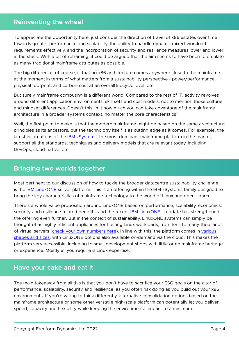#### **Reinventing the wheel**

To appreciate the opportunity here, just consider the direction of travel of x86 estates over time towards greater performance and scalability, the ability to handle dynamic mixed-workload requirements effectively, and the incorporation of security and resilience measures lower and lower in the stack. With a bit of reframing, it could be argued that the aim seems to have been to emulate as many traditional mainframe attributes as possible.

The big difference, of course, is that no x86 architecture comes anywhere close to the mainframe at the moment in terms of what matters from a sustainability perspective - power/performance, physical footprint, and carbon-cost at an overall lifecycle level, etc.

But surely mainframe computing is a different world. Compared to the rest of IT, activity revolves around different application environments, skill sets and cost models, not to mention those cultural and mindset differences. Doesn't this limit how much you can take advantage of the mainframe architecture in a broader systems context, no matter the core characteristics?

Well, the first point to make is that the modern mainframe might be based on the same architectural principles as its ancestors, but the technology itself is as cutting edge as it comes. For example, the latest incarnations of the [IBM zSystems,](https://www.ibm.com/products/z16) the most dominant mainframe platform in the market, support all the standards, techniques and delivery models that are relevant today, including DevOps, cloud-native, etc.

#### **Bringing two worlds together**

Most pertinent to our discussion of how to tackle the broader datacentre sustainability challenge is the [IBM LinuxONE](https://www.ibm.com/it-infrastructure/linuxone) server platform. This is an offering within the IBM zSystems family designed to bring the key characteristics of mainframe technology to the world of Linux and open-source.

There's a whole value proposition around LinuxONE based on performance, scalability, economics, security and resilience related benefits, and the recent [IBM LinuxONE III](https://www.ibm.com/products/linuxone-iii) update has strengthened the offering even further. But in the context of sustainability, LinuxONE systems can simply be thought of as highly efficient appliances for hosting Linux workloads, from tens to many thousands of virtual servers([check your own numbers here\)](https://www.ibm.com/it-infrastructure/resources/tools/linuxone-tco-calculator/). In line with this, the platform comes in [various](https://www.ibm.com/it-infrastructure/linuxone/enterprise-linux-servers) [shapes and sizes,](https://www.ibm.com/it-infrastructure/linuxone/enterprise-linux-servers) with LinuxONE options also available on-demand via the cloud. This makes the platform very accessible, including to small development shops with little or no mainframe heritage or experience. Mostly all you require is Linux expertise.

#### **Have your cake and eat it**

The main takeaway from all this is that you don't have to sacrifice your ESG goals on the altar of performance, scalability, security and resilience, as you often risk doing as you build out your x86 environments. If you're willing to think differently, alternative consolidation options based on the mainframe architecture or some other versatile high-scale platform can potentially let you deliver speed, capacity and flexibility while keeping the environmental impact to a minimum.